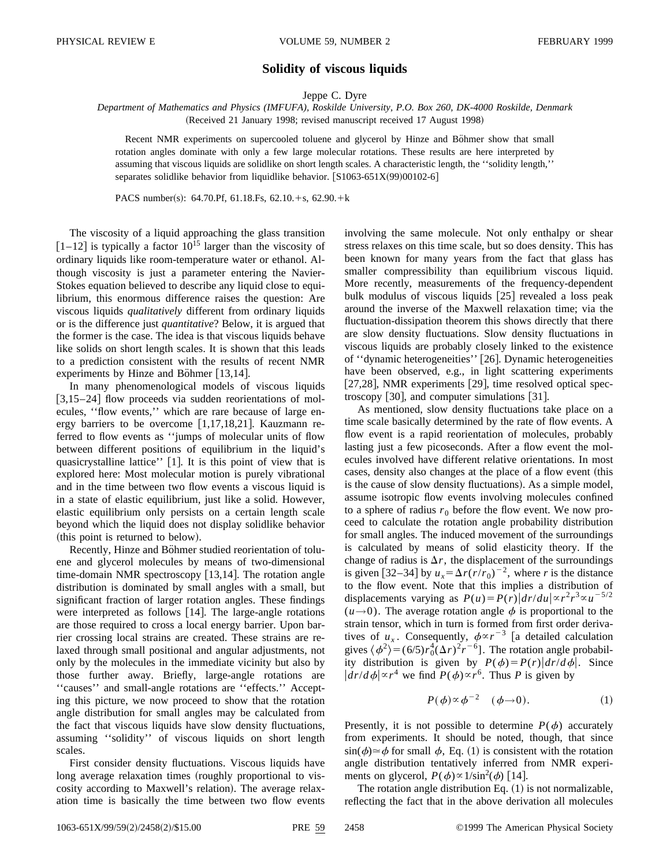## **Solidity of viscous liquids**

Jeppe C. Dyre

*Department of Mathematics and Physics (IMFUFA), Roskilde University, P.O. Box 260, DK-4000 Roskilde, Denmark* (Received 21 January 1998; revised manuscript received 17 August 1998)

Recent NMR experiments on supercooled toluene and glycerol by Hinze and Böhmer show that small rotation angles dominate with only a few large molecular rotations. These results are here interpreted by assuming that viscous liquids are solidlike on short length scales. A characteristic length, the ''solidity length,'' separates solidlike behavior from liquidlike behavior.  $[S1063-651X(99)00102-6]$ 

PACS number(s): 64.70.Pf, 61.18.Fs, 62.10. $+s$ , 62.90. $+k$ 

The viscosity of a liquid approaching the glass transition  $[1–12]$  is typically a factor  $10^{15}$  larger than the viscosity of ordinary liquids like room-temperature water or ethanol. Although viscosity is just a parameter entering the Navier-Stokes equation believed to describe any liquid close to equilibrium, this enormous difference raises the question: Are viscous liquids *qualitatively* different from ordinary liquids or is the difference just *quantitative*? Below, it is argued that the former is the case. The idea is that viscous liquids behave like solids on short length scales. It is shown that this leads to a prediction consistent with the results of recent NMR experiments by Hinze and Böhmer  $|13,14|$ .

In many phenomenological models of viscous liquids  $[3,15–24]$  flow proceeds via sudden reorientations of molecules, ''flow events,'' which are rare because of large energy barriers to be overcome  $[1,17,18,21]$ . Kauzmann referred to flow events as ''jumps of molecular units of flow between different positions of equilibrium in the liquid's quasicrystalline lattice" [1]. It is this point of view that is explored here: Most molecular motion is purely vibrational and in the time between two flow events a viscous liquid is in a state of elastic equilibrium, just like a solid. However, elastic equilibrium only persists on a certain length scale beyond which the liquid does not display solidlike behavior (this point is returned to below).

Recently, Hinze and Böhmer studied reorientation of toluene and glycerol molecules by means of two-dimensional time-domain NMR spectroscopy  $[13,14]$ . The rotation angle distribution is dominated by small angles with a small, but significant fraction of larger rotation angles. These findings were interpreted as follows  $[14]$ . The large-angle rotations are those required to cross a local energy barrier. Upon barrier crossing local strains are created. These strains are relaxed through small positional and angular adjustments, not only by the molecules in the immediate vicinity but also by those further away. Briefly, large-angle rotations are ''causes'' and small-angle rotations are ''effects.'' Accepting this picture, we now proceed to show that the rotation angle distribution for small angles may be calculated from the fact that viscous liquids have slow density fluctuations, assuming ''solidity'' of viscous liquids on short length scales.

First consider density fluctuations. Viscous liquids have long average relaxation times (roughly proportional to viscosity according to Maxwell's relation). The average relaxation time is basically the time between two flow events involving the same molecule. Not only enthalpy or shear stress relaxes on this time scale, but so does density. This has been known for many years from the fact that glass has smaller compressibility than equilibrium viscous liquid. More recently, measurements of the frequency-dependent bulk modulus of viscous liquids  $[25]$  revealed a loss peak around the inverse of the Maxwell relaxation time; via the fluctuation-dissipation theorem this shows directly that there are slow density fluctuations. Slow density fluctuations in viscous liquids are probably closely linked to the existence of "dynamic heterogeneities" [26]. Dynamic heterogeneities have been observed, e.g., in light scattering experiments [27,28], NMR experiments  $[29]$ , time resolved optical spectroscopy  $[30]$ , and computer simulations  $[31]$ .

As mentioned, slow density fluctuations take place on a time scale basically determined by the rate of flow events. A flow event is a rapid reorientation of molecules, probably lasting just a few picoseconds. After a flow event the molecules involved have different relative orientations. In most cases, density also changes at the place of a flow event (this is the cause of slow density fluctuations). As a simple model, assume isotropic flow events involving molecules confined to a sphere of radius  $r_0$  before the flow event. We now proceed to calculate the rotation angle probability distribution for small angles. The induced movement of the surroundings is calculated by means of solid elasticity theory. If the change of radius is  $\Delta r$ , the displacement of the surroundings is given [32–34] by  $u_x = \Delta r (r/r_0)^{-2}$ , where *r* is the distance to the flow event. Note that this implies a distribution of displacements varying as  $P(u) = P(r)|dr/du| \propto r^2 r^3 \propto u^{-5/2}$  $(u\rightarrow 0)$ . The average rotation angle  $\phi$  is proportional to the strain tensor, which in turn is formed from first order derivatives of  $u_x$ . Consequently,  $\phi \propto r^{-3}$  [a detailed calculation gives  $\langle \phi^2 \rangle = (6/5)r_0^4(\Delta r)^2r^{-6}$ . The rotation angle probability distribution is given by  $P(\phi) = P(r)|dr/d\phi|$ . Since  $|dr/d\phi| \propto r^4$  we find  $P(\phi) \propto r^6$ . Thus *P* is given by

$$
P(\phi) \propto \phi^{-2} \quad (\phi \to 0). \tag{1}
$$

Presently, it is not possible to determine  $P(\phi)$  accurately from experiments. It should be noted, though, that since  $\sin(\phi) \approx \phi$  for small  $\phi$ , Eq. (1) is consistent with the rotation angle distribution tentatively inferred from NMR experiments on glycerol,  $P(\phi) \propto 1/\sin^2(\phi)$  [14].

The rotation angle distribution Eq.  $(1)$  is not normalizable, reflecting the fact that in the above derivation all molecules